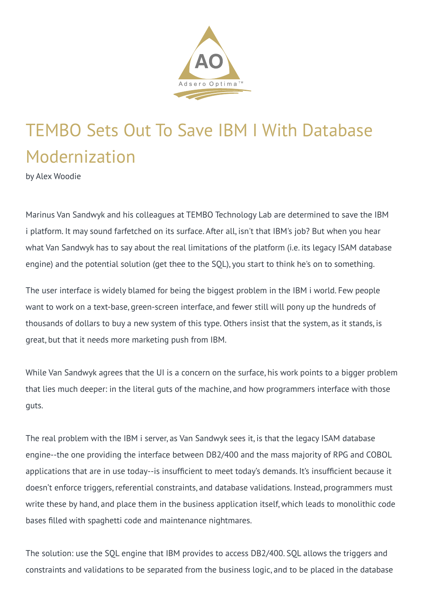

## TEMBO Sets Out To Save IBM I With Database Modernization

by Alex Woodie

Marinus Van Sandwyk and his colleagues at TEMBO Technology Lab are determined to save the IBM i platform. It may sound farfetched on its surface. After all, isn't that IBM's job? But when you hear what Van Sandwyk has to say about the real limitations of the platform (i.e. its legacy ISAM database engine) and the potential solution (get thee to the SQL), you start to think he's on to something.

The user interface is widely blamed for being the biggest problem in the IBM i world. Few people want to work on a text-base, green-screen interface, and fewer still will pony up the hundreds of thousands of dollars to buy a new system of this type. Others insist that the system, as it stands, is great, but that it needs more marketing push from IBM.

While Van Sandwyk agrees that the UI is a concern on the surface, his work points to a bigger problem that lies much deeper: in the literal guts of the machine, and how programmers interface with those guts.

The real problem with the IBM i server, as Van Sandwyk sees it, is that the legacy ISAM database engine--the one providing the interface between DB2/400 and the mass majority of RPG and COBOL applications that are in use today--is insufficient to meet today's demands. It's insufficient because it doesn't enforce triggers, referential constraints, and database validations. Instead, programmers must write these by hand, and place them in the business application itself, which leads to monolithic code bases filled with spaghetti code and maintenance nightmares.

The solution: use the SQL engine that IBM provides to access DB2/400. SQL allows the triggers and constraints and validations to be separated from the business logic, and to be placed in the database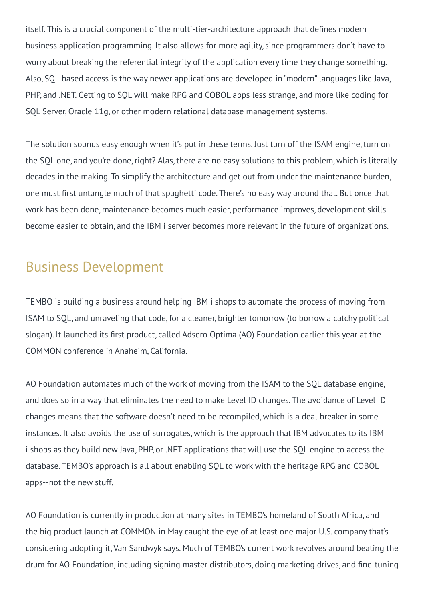itself. This is a crucial component of the multi-tier-architecture approach that defines modern business application programming. It also allows for more agility, since programmers don't have to worry about breaking the referential integrity of the application every time they change something. Also, SQL-based access is the way newer applications are developed in "modern" languages like Java, PHP, and .NET. Getting to SQL will make RPG and COBOL apps less strange, and more like coding for SQL Server, Oracle 11g, or other modern relational database management systems.

The solution sounds easy enough when it's put in these terms. Just turn off the ISAM engine, turn on the SOL one, and you're done, right? Alas, there are no easy solutions to this problem, which is literally decades in the making. To simplify the architecture and get out from under the maintenance burden, one must first untangle much of that spaghetti code. There's no easy way around that. But once that work has been done, maintenance becomes much easier, performance improves, development skills become easier to obtain, and the IBM i server becomes more relevant in the future of organizations.

## Business Development

TEMBO is building a business around helping IBM i shops to automate the process of moving from ISAM to SQL, and unraveling that code, for a cleaner, brighter tomorrow (to borrow a catchy political slogan). It launched its first product, called Adsero Optima (AO) Foundation earlier this year at the COMMON conference in Anaheim, California.

AO Foundation automates much of the work of moving from the ISAM to the SQL database engine, and does so in a way that eliminates the need to make Level ID changes. The avoidance of Level ID changes means that the software doesn't need to be recompiled, which is a deal breaker in some instances. It also avoids the use of surrogates, which is the approach that IBM advocates to its IBM i shops as they build new Java, PHP, or .NET applications that will use the SQL engine to access the database. TEMBO's approach is all about enabling SQL to work with the heritage RPG and COBOL apps--not the new stuff.

AO Foundation is currently in production at many sites in TEMBO's homeland of South Africa, and the big product launch at COMMON in May caught the eye of at least one major U.S. company that's considering adopting it, Van Sandwyk says. Much of TEMBO's current work revolves around beating the drum for AO Foundation, including signing master distributors, doing marketing drives, and fine-tuning